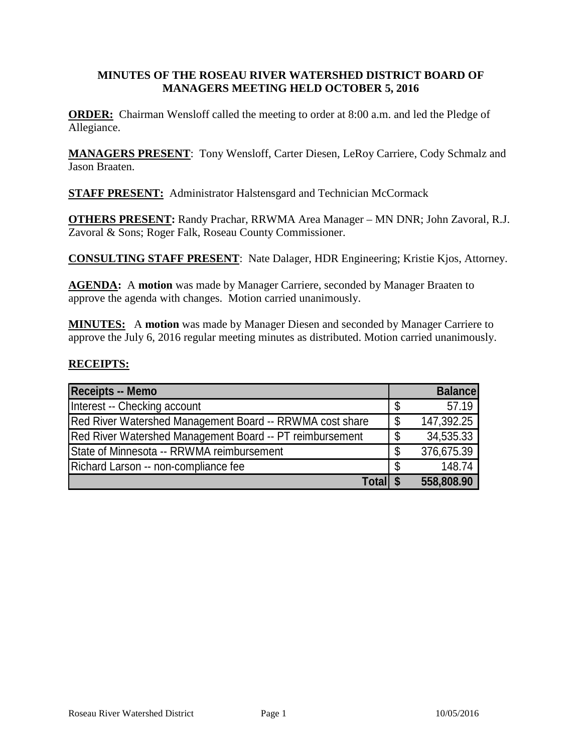### **MINUTES OF THE ROSEAU RIVER WATERSHED DISTRICT BOARD OF MANAGERS MEETING HELD OCTOBER 5, 2016**

**ORDER:** Chairman Wensloff called the meeting to order at 8:00 a.m. and led the Pledge of Allegiance.

**MANAGERS PRESENT**: Tony Wensloff, Carter Diesen, LeRoy Carriere, Cody Schmalz and Jason Braaten.

**STAFF PRESENT:** Administrator Halstensgard and Technician McCormack

**OTHERS PRESENT:** Randy Prachar, RRWMA Area Manager – MN DNR; John Zavoral, R.J. Zavoral & Sons; Roger Falk, Roseau County Commissioner.

**CONSULTING STAFF PRESENT**: Nate Dalager, HDR Engineering; Kristie Kjos, Attorney.

**AGENDA:** A **motion** was made by Manager Carriere, seconded by Manager Braaten to approve the agenda with changes. Motion carried unanimously.

**MINUTES:** A **motion** was made by Manager Diesen and seconded by Manager Carriere to approve the July 6, 2016 regular meeting minutes as distributed. Motion carried unanimously.

### **RECEIPTS:**

| Receipts -- Memo                                         |    | <b>Balance</b> |
|----------------------------------------------------------|----|----------------|
| Interest -- Checking account                             | \$ | 57.19          |
| Red River Watershed Management Board -- RRWMA cost share | \$ | 147,392.25     |
| Red River Watershed Management Board -- PT reimbursement | \$ | 34,535.33      |
| State of Minnesota -- RRWMA reimbursement                | \$ | 376,675.39     |
| Richard Larson -- non-compliance fee                     | S  | 148.74         |
| Total \$                                                 |    | 558,808.90     |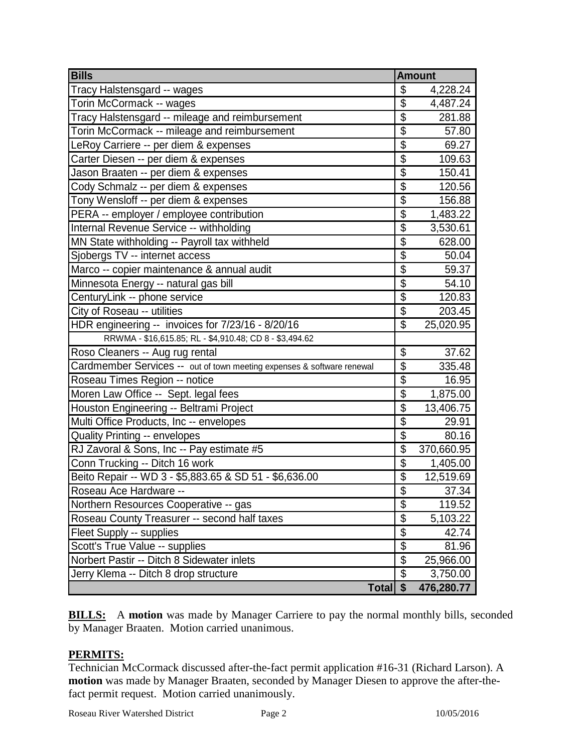| <b>Bills</b>                                                           | <b>Amount</b>             |            |
|------------------------------------------------------------------------|---------------------------|------------|
| Tracy Halstensgard -- wages                                            | \$                        | 4,228.24   |
| Torin McCormack -- wages                                               | \$                        | 4,487.24   |
| Tracy Halstensgard -- mileage and reimbursement                        | $\overline{\$}$           | 281.88     |
| Torin McCormack -- mileage and reimbursement                           | \$                        | 57.80      |
| LeRoy Carriere -- per diem & expenses                                  | $\overline{\$}$           | 69.27      |
| Carter Diesen -- per diem & expenses                                   | \$                        | 109.63     |
| Jason Braaten -- per diem & expenses                                   | $\overline{\mathbb{S}}$   | 150.41     |
| Cody Schmalz -- per diem & expenses                                    | $\overline{\$}$           | 120.56     |
| Tony Wensloff -- per diem & expenses                                   | $\overline{\mathbb{S}}$   | 156.88     |
| PERA -- employer / employee contribution                               | $\overline{\$}$           | 1,483.22   |
| Internal Revenue Service -- withholding                                | $\overline{\mathbb{S}}$   | 3,530.61   |
| MN State withholding -- Payroll tax withheld                           | $\overline{\mathbb{S}}$   | 628.00     |
| Sjobergs TV -- internet access                                         | \$                        | 50.04      |
| Marco -- copier maintenance & annual audit                             | $\overline{\mathbb{S}}$   | 59.37      |
| Minnesota Energy -- natural gas bill                                   | $\overline{\$}$           | 54.10      |
| CenturyLink -- phone service                                           | $\overline{\mathfrak{s}}$ | 120.83     |
| City of Roseau -- utilities                                            | $\overline{\$}$           | 203.45     |
| HDR engineering -- invoices for 7/23/16 - 8/20/16                      | $\mathfrak{L}$            | 25,020.95  |
| RRWMA - \$16,615.85; RL - \$4,910.48; CD 8 - \$3,494.62                |                           |            |
| Roso Cleaners -- Aug rug rental                                        | \$                        | 37.62      |
| Cardmember Services -- out of town meeting expenses & software renewal | $\overline{\mathbb{S}}$   | 335.48     |
| Roseau Times Region -- notice                                          | $\overline{\$}$           | 16.95      |
| Moren Law Office -- Sept. legal fees                                   | $\overline{\mathbb{S}}$   | 1,875.00   |
| Houston Engineering -- Beltrami Project                                | $\overline{\$}$           | 13,406.75  |
| Multi Office Products, Inc -- envelopes                                | $\overline{\$}$           | 29.91      |
| <b>Quality Printing -- envelopes</b>                                   | $\overline{\mathbb{S}}$   | 80.16      |
| RJ Zavoral & Sons, Inc -- Pay estimate #5                              | $\overline{\mathbb{S}}$   | 370,660.95 |
| Conn Trucking -- Ditch 16 work                                         | $\overline{\mathcal{S}}$  | 1,405.00   |
| Beito Repair -- WD 3 - \$5,883.65 & SD 51 - \$6,636.00                 | $\overline{\$}$           | 12,519.69  |
| Roseau Ace Hardware --                                                 | $\overline{\mathcal{S}}$  | 37.34      |
| Northern Resources Cooperative -- gas                                  | $\overline{\$}$           | 119.52     |
| Roseau County Treasurer -- second half taxes                           | \$                        | 5,103.22   |
| Fleet Supply -- supplies                                               | $\overline{\mathbb{S}}$   | 42.74      |
| Scott's True Value -- supplies                                         | \$                        | 81.96      |
| Norbert Pastir -- Ditch 8 Sidewater inlets                             | $\overline{\$}$           | 25,966.00  |
| Jerry Klema -- Ditch 8 drop structure                                  | $\overline{\mathfrak{s}}$ | 3,750.00   |
| Total $\sqrt{5}$                                                       |                           | 476,280.77 |

**BILLS:** A motion was made by Manager Carriere to pay the normal monthly bills, seconded by Manager Braaten. Motion carried unanimous.

## **PERMITS:**

Technician McCormack discussed after-the-fact permit application #16-31 (Richard Larson). A **motion** was made by Manager Braaten, seconded by Manager Diesen to approve the after-thefact permit request. Motion carried unanimously.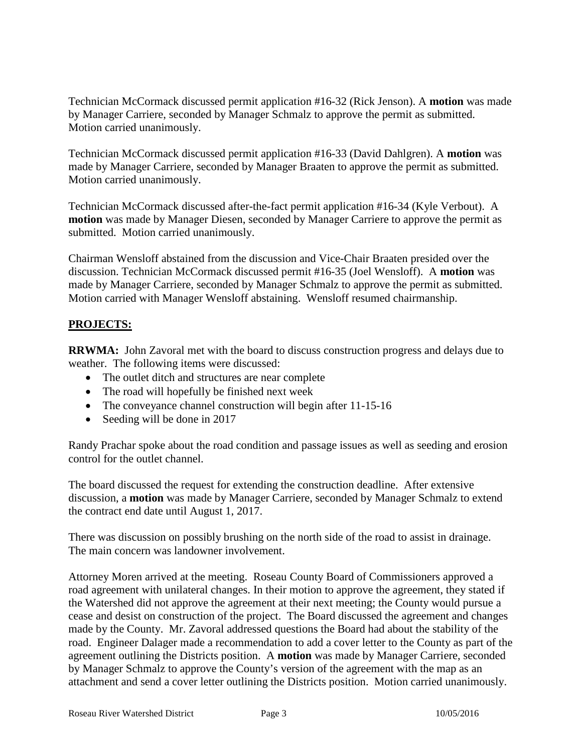Technician McCormack discussed permit application #16-32 (Rick Jenson). A **motion** was made by Manager Carriere, seconded by Manager Schmalz to approve the permit as submitted. Motion carried unanimously.

Technician McCormack discussed permit application #16-33 (David Dahlgren). A **motion** was made by Manager Carriere, seconded by Manager Braaten to approve the permit as submitted. Motion carried unanimously.

Technician McCormack discussed after-the-fact permit application #16-34 (Kyle Verbout). A **motion** was made by Manager Diesen, seconded by Manager Carriere to approve the permit as submitted. Motion carried unanimously.

Chairman Wensloff abstained from the discussion and Vice-Chair Braaten presided over the discussion. Technician McCormack discussed permit #16-35 (Joel Wensloff). A **motion** was made by Manager Carriere, seconded by Manager Schmalz to approve the permit as submitted. Motion carried with Manager Wensloff abstaining. Wensloff resumed chairmanship.

# **PROJECTS:**

**RRWMA:** John Zavoral met with the board to discuss construction progress and delays due to weather. The following items were discussed:

- The outlet ditch and structures are near complete
- The road will hopefully be finished next week
- The conveyance channel construction will begin after 11-15-16
- Seeding will be done in 2017

Randy Prachar spoke about the road condition and passage issues as well as seeding and erosion control for the outlet channel.

The board discussed the request for extending the construction deadline. After extensive discussion, a **motion** was made by Manager Carriere, seconded by Manager Schmalz to extend the contract end date until August 1, 2017.

There was discussion on possibly brushing on the north side of the road to assist in drainage. The main concern was landowner involvement.

Attorney Moren arrived at the meeting. Roseau County Board of Commissioners approved a road agreement with unilateral changes. In their motion to approve the agreement, they stated if the Watershed did not approve the agreement at their next meeting; the County would pursue a cease and desist on construction of the project. The Board discussed the agreement and changes made by the County. Mr. Zavoral addressed questions the Board had about the stability of the road. Engineer Dalager made a recommendation to add a cover letter to the County as part of the agreement outlining the Districts position. A **motion** was made by Manager Carriere, seconded by Manager Schmalz to approve the County's version of the agreement with the map as an attachment and send a cover letter outlining the Districts position. Motion carried unanimously.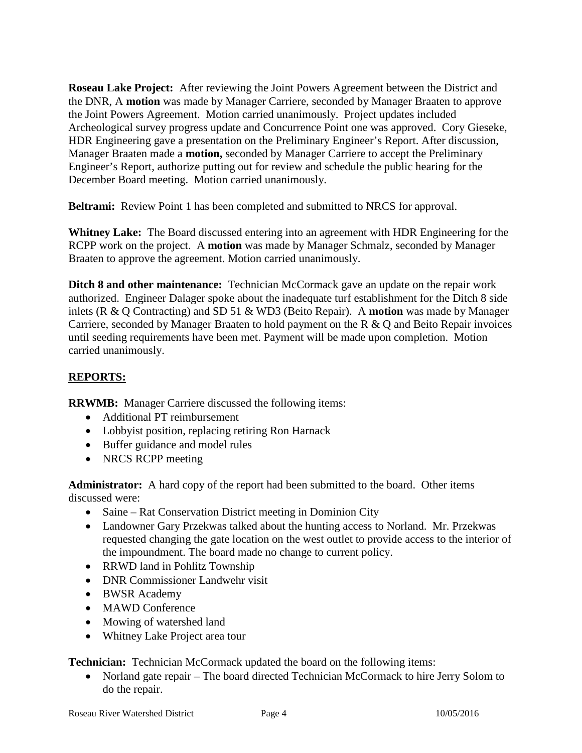**Roseau Lake Project:** After reviewing the Joint Powers Agreement between the District and the DNR, A **motion** was made by Manager Carriere, seconded by Manager Braaten to approve the Joint Powers Agreement. Motion carried unanimously. Project updates included Archeological survey progress update and Concurrence Point one was approved. Cory Gieseke, HDR Engineering gave a presentation on the Preliminary Engineer's Report. After discussion, Manager Braaten made a **motion,** seconded by Manager Carriere to accept the Preliminary Engineer's Report, authorize putting out for review and schedule the public hearing for the December Board meeting. Motion carried unanimously.

**Beltrami:** Review Point 1 has been completed and submitted to NRCS for approval.

**Whitney Lake:** The Board discussed entering into an agreement with HDR Engineering for the RCPP work on the project. A **motion** was made by Manager Schmalz, seconded by Manager Braaten to approve the agreement. Motion carried unanimously.

**Ditch 8 and other maintenance:** Technician McCormack gave an update on the repair work authorized. Engineer Dalager spoke about the inadequate turf establishment for the Ditch 8 side inlets (R & Q Contracting) and SD 51 & WD3 (Beito Repair). A **motion** was made by Manager Carriere, seconded by Manager Braaten to hold payment on the R & Q and Beito Repair invoices until seeding requirements have been met. Payment will be made upon completion. Motion carried unanimously.

# **REPORTS:**

**RRWMB:** Manager Carriere discussed the following items:

- Additional PT reimbursement
- Lobbyist position, replacing retiring Ron Harnack
- Buffer guidance and model rules
- NRCS RCPP meeting

**Administrator:** A hard copy of the report had been submitted to the board. Other items discussed were:

- Saine Rat Conservation District meeting in Dominion City
- Landowner Gary Przekwas talked about the hunting access to Norland. Mr. Przekwas requested changing the gate location on the west outlet to provide access to the interior of the impoundment. The board made no change to current policy.
- RRWD land in Pohlitz Township
- DNR Commissioner Landwehr visit
- BWSR Academy
- MAWD Conference
- Mowing of watershed land
- Whitney Lake Project area tour

**Technician:** Technician McCormack updated the board on the following items:

• Norland gate repair – The board directed Technician McCormack to hire Jerry Solom to do the repair.